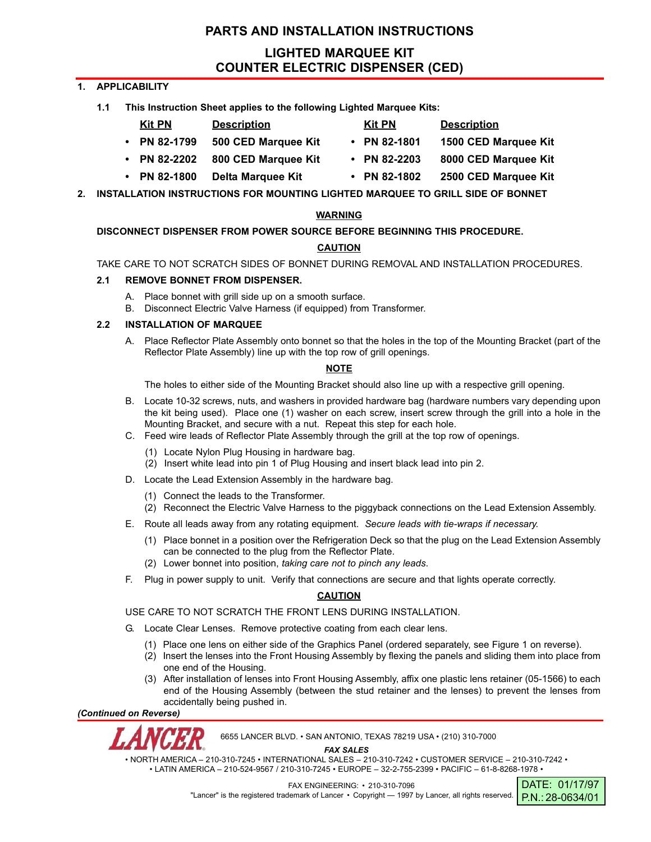# **PARTS AND INSTALLATION INSTRUCTIONS**

# **LIGHTED MARQUEE KIT COUNTER ELECTRIC DISPENSER (CED)**

**Kit PN Description Kit PN Description**

# **1. APPLICABILITY**

**1.1 This Instruction Sheet applies to the following Lighted Marquee Kits:**

| Kit PN | <b>Description</b> |
|--------|--------------------|
|        |                    |

- **PN 82-1799 500 CED Marquee Kit PN 82-1801 1500 CED Marquee Kit**
- **PN 82-2202 800 CED Marquee Kit PN 82-2203 8000 CED Marquee Kit**
- **PN 82-1800 Delta Marquee Kit PN 82-1802 2500 CED Marquee Kit**
- **2. INSTALLATION INSTRUCTIONS FOR MOUNTING LIGHTED MARQUEE TO GRILL SIDE OF BONNET**

## **WARNING**

# **DISCONNECT DISPENSER FROM POWER SOURCE BEFORE BEGINNING THIS PROCEDURE.**

# **CAUTION**

TAKE CARE TO NOT SCRATCH SIDES OF BONNET DURING REMOVAL AND INSTALLATION PROCEDURES.

## **2.1 REMOVE BONNET FROM DISPENSER.**

- A. Place bonnet with grill side up on a smooth surface.
- B. Disconnect Electric Valve Harness (if equipped) from Transformer.

## **2.2 INSTALLATION OF MARQUEE**

A. Place Reflector Plate Assembly onto bonnet so that the holes in the top of the Mounting Bracket (part of the Reflector Plate Assembly) line up with the top row of grill openings.

## **NOTE**

The holes to either side of the Mounting Bracket should also line up with a respective grill opening.

- B. Locate 10-32 screws, nuts, and washers in provided hardware bag (hardware numbers vary depending upon the kit being used). Place one (1) washer on each screw, insert screw through the grill into a hole in the Mounting Bracket, and secure with a nut. Repeat this step for each hole.
- C. Feed wire leads of Reflector Plate Assembly through the grill at the top row of openings.
	- (1) Locate Nylon Plug Housing in hardware bag.
	- (2) Insert white lead into pin 1 of Plug Housing and insert black lead into pin 2.
- D. Locate the Lead Extension Assembly in the hardware bag.
	- (1) Connect the leads to the Transformer.
	- (2) Reconnect the Electric Valve Harness to the piggyback connections on the Lead Extension Assembly.
- E. Route all leads away from any rotating equipment. *Secure leads with tie-wraps if necessary.*
	- (1) Place bonnet in a position over the Refrigeration Deck so that the plug on the Lead Extension Assembly can be connected to the plug from the Reflector Plate.
	- (2) Lower bonnet into position, *taking care not to pinch any leads*.
- F. Plug in power supply to unit. Verify that connections are secure and that lights operate correctly.

# **CAUTION**

USE CARE TO NOT SCRATCH THE FRONT LENS DURING INSTALLATION.

- G. Locate Clear Lenses. Remove protective coating from each clear lens.
	- (1) Place one lens on either side of the Graphics Panel (ordered separately, see Figure 1 on reverse).
	- (2) Insert the lenses into the Front Housing Assembly by flexing the panels and sliding them into place from one end of the Housing.
	- (3) After installation of lenses into Front Housing Assembly, affix one plastic lens retainer (05-1566) to each end of the Housing Assembly (between the stud retainer and the lenses) to prevent the lenses from accidentally being pushed in.

*(Continued on Reverse)*



6655 LANCER BLVD. • SAN ANTONIO, TEXAS 78219 USA • (210) 310-7000

*FAX SALES*

• NORTH AMERICA – 210-310-7245 • INTERNATIONAL SALES – 210-310-7242 • CUSTOMER SERVICE – 210-310-7242 • • LATIN AMERICA – 210-524-9567 / 210-310-7245 • EUROPE – 32-2-755-2399 • PACIFIC – 61-8-8268-1978 •

FAX ENGINEERING: • 210-310-7096

"Lancer" is the registered trademark of Lancer • Copyright - 1997 by Lancer, all rights reserved.